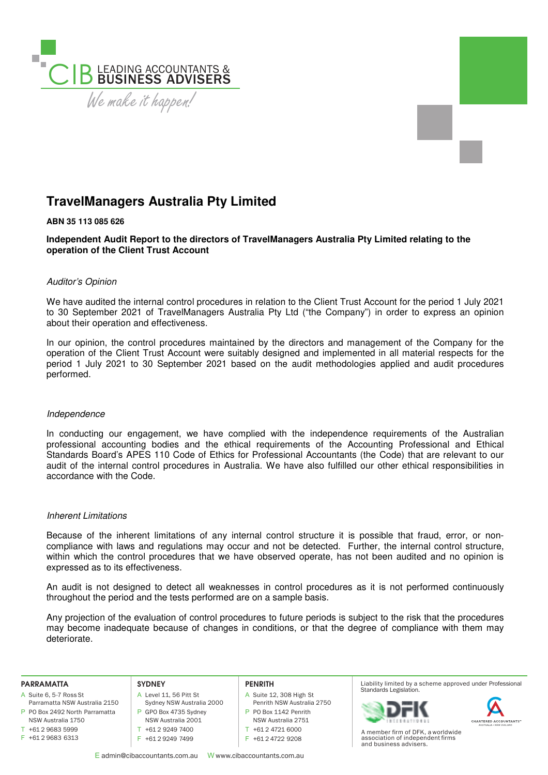

# **TravelManagers Australia Pty Limited**

# **ABN 35 113 085 626**

**Independent Audit Report to the directors of TravelManagers Australia Pty Limited relating to the operation of the Client Trust Account** 

# Auditor's Opinion

We have audited the internal control procedures in relation to the Client Trust Account for the period 1 July 2021 to 30 September 2021 of TravelManagers Australia Pty Ltd ("the Company") in order to express an opinion about their operation and effectiveness.

In our opinion, the control procedures maintained by the directors and management of the Company for the operation of the Client Trust Account were suitably designed and implemented in all material respects for the period 1 July 2021 to 30 September 2021 based on the audit methodologies applied and audit procedures performed.

# Independence

In conducting our engagement, we have complied with the independence requirements of the Australian professional accounting bodies and the ethical requirements of the Accounting Professional and Ethical Standards Board's APES 110 Code of Ethics for Professional Accountants (the Code) that are relevant to our audit of the internal control procedures in Australia. We have also fulfilled our other ethical responsibilities in accordance with the Code.

# Inherent Limitations

Because of the inherent limitations of any internal control structure it is possible that fraud, error, or noncompliance with laws and regulations may occur and not be detected. Further, the internal control structure, within which the control procedures that we have observed operate, has not been audited and no opinion is expressed as to its effectiveness.

An audit is not designed to detect all weaknesses in control procedures as it is not performed continuously throughout the period and the tests performed are on a sample basis.

Any projection of the evaluation of control procedures to future periods is subject to the risk that the procedures may become inadequate because of changes in conditions, or that the degree of compliance with them may deteriorate.

#### **PARRAMATTA**

- A Suite 6, 5-7 Ross St
- P PO Box 2492 North Parramatta Parramatta NSW Australia 2150
- NSW Australia 1750  $T + 61296835999$
- F +61 2 9683 6313

### **SYDNEY**

- A Level 11, 56 Pitt St
- Sydney NSW Australia 2000 P GPO Box 4735 Sydney
- NSW Australia 2001 T +61 2 9249 7400
- F +61 2 9249 7499

# A Suite 12, 308 High St

**PENRITH**

- Penrith NSW Australia 2750
- P PO Box 1142 Penrith
- NSW Australia 2751
- T +61 2 4721 6000
- F +61 2 4722 9208

Liability limited by a scheme approved under Professional Standards Legislation.





A member firm of DFK, a worldwide association of independent firms and business advisers.